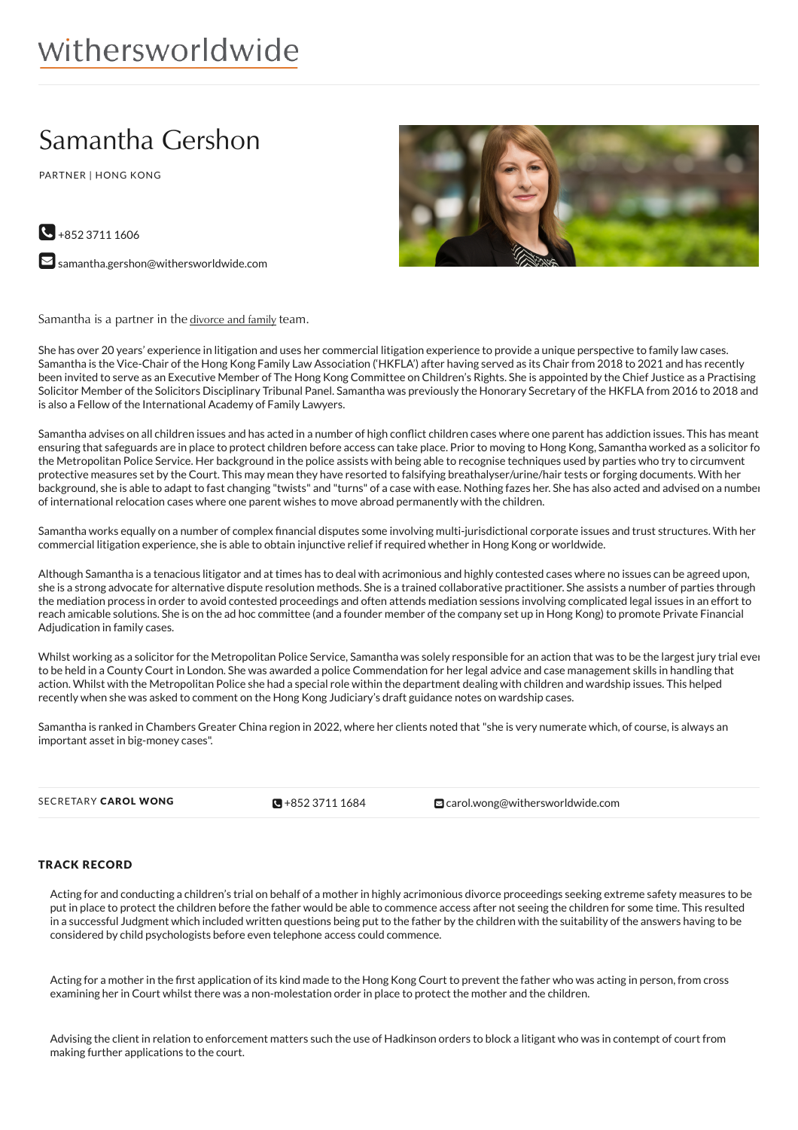# withersworldwide

# Samantha Gershon

PARTNER | HONG KONG



 $\bigodot$  +852 3711 1606

 $\blacktriangleright$  [samantha.gershon@withersworldwide.com](mailto:samantha.gershon@withersworldwide.com?subject=Website Enquiry - Profile Page)

Samantha is a partner in the [divorce](https://www.withersworldwide.com/en-gb/divorce-and-family) and family team.

She has over 20 years' experience in litigation and uses her commercial litigation experience to provide a unique perspective to family law cases. Samantha is the Vice-Chair of the Hong Kong Family Law Association ('HKFLA') after having served as its Chair from 2018 to 2021 and has recently been invited to serve as an Executive Member of The Hong Kong Committee on Children's Rights. She is appointed by the Chief Justice as a Practising Solicitor Member of the Solicitors Disciplinary Tribunal Panel. Samantha was previously the Honorary Secretary of the HKFLA from 2016 to 2018 and is also a Fellow of the International Academy of Family Lawyers.

Samantha advises on all children issues and has acted in a number of high conflict children cases where one parent has addiction issues. This has meant ensuring that safeguards are in place to protect children before access can take place. Prior to moving to Hong Kong, Samantha worked as a solicitor for the Metropolitan Police Service. Her background in the police assists with being able to recognise techniques used by parties who try to circumvent protective measures set by the Court. This may mean they have resorted to falsifying breathalyser/urine/hair tests or forging documents. With her background, she is able to adapt to fast changing "twists" and "turns" of a case with ease. Nothing fazes her. She has also acted and advised on a number of international relocation cases where one parent wishes to move abroad permanently with the children.

Samantha works equally on a number of complex financial disputes some involving multi-jurisdictional corporate issues and trust structures. With her commercial litigation experience, she is able to obtain injunctive relief if required whether in Hong Kong or worldwide.

Although Samantha is a tenacious litigator and at times has to deal with acrimonious and highly contested cases where no issues can be agreed upon, she is a strong advocate for alternative dispute resolution methods. She is a trained collaborative practitioner. She assists a number of parties through the mediation process in order to avoid contested proceedings and often attends mediation sessions involving complicated legal issues in an effort to reach amicable solutions. She is on the ad hoc committee (and a founder member of the company set up in Hong Kong) to promote Private Financial Adjudication in family cases.

Whilst working as a solicitor for the Metropolitan Police Service, Samantha was solely responsible for an action that was to be the largest jury trial ever to be held in a County Court in London. She was awarded a police Commendation for her legal advice and case management skills in handling that action. Whilst with the Metropolitan Police she had a special role within the department dealing with children and wardship issues. This helped recently when she was asked to comment on the Hong Kong Judiciary's draft guidance notes on wardship cases.

Samantha is ranked in Chambers Greater China region in 2022, where her clients noted that"she is very numerate which, of course, is always an important asset in big-money cases".

 $\blacksquare + 85237111684$ 

SECRETARY CAROL WONG **CAROL WONG** +852 [3711](tel:+852 3711 1684) 1684 [carol.wong@withersworldwide.com](mailto:carol.wong@withersworldwide.com)

# TRACK RECORD

Acting for and conducting a children's trial on behalf of a mother in highly acrimonious divorce proceedings seeking extreme safety measures to be put in place to protect the children before the father would be able to commence access after not seeing the children for some time. This resulted in a successful Judgment which included written questions being put to the father by the children with the suitability of the answers having to be considered by child psychologists before even telephone access could commence.

Acting for a mother in the first application of its kind made to the Hong Kong Court to prevent the father who was acting in person, from cross examining her in Court whilst there was a non-molestation order in place to protect the mother and the children.

Advising the client in relation to enforcement matters such the use of Hadkinson orders to block a litigant who was in contempt of court from making further applications to the court.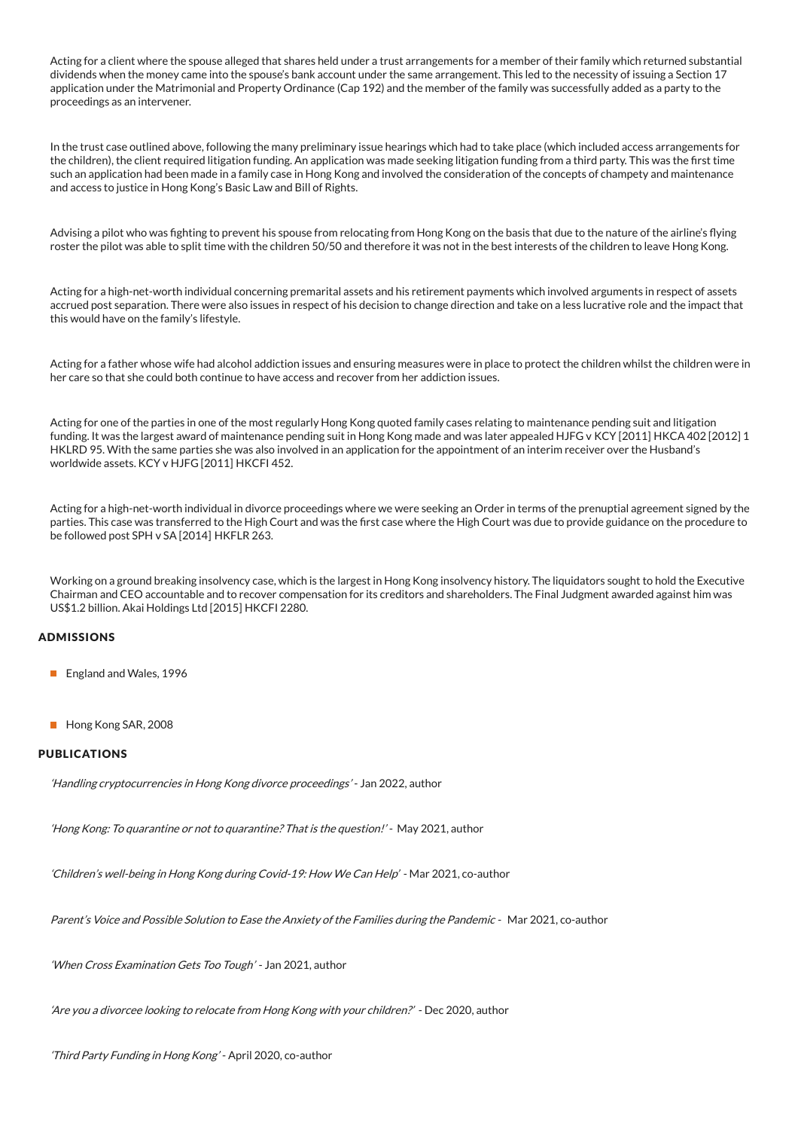Acting for a client where the spouse alleged that shares held under a trust arrangements for a member of their family which returned substantial dividends when the money came into the spouse's bank account under the same arrangement. This led to the necessity of issuing a Section 17 application under the Matrimonial and Property Ordinance (Cap 192) and the member of the family was successfully added as a party to the proceedings as an intervener.

In the trust case outlined above, following the many preliminary issue hearings which had to take place (which included access arrangements for the children), the client required litigation funding. An application was made seeking litigation funding from a third party. This was the first time such an application had been made in a family case in Hong Kong and involved the consideration of the concepts of champety and maintenance and access to justice in Hong Kong's Basic Law and Bill of Rights.

Advising a pilot who was fighting to prevent his spouse from relocating from Hong Kong on the basis that due to the nature of the airline's flying roster the pilot was able to split time with the children 50/50 and therefore it was not in the best interests of the children to leave Hong Kong.

Acting for a high-net-worth individual concerning premarital assets and his retirement payments which involved arguments in respect of assets accrued post separation. There were also issues in respect of his decision to change direction and take on a less lucrative role and the impact that this would have on the family's lifestyle.

Acting for a father whose wife had alcohol addiction issues and ensuring measures were in place to protect the children whilst the children were in her care so that she could both continue to have access and recover from her addiction issues.

Acting for one of the parties in one of the most regularly Hong Kong quoted family cases relating to maintenance pending suit and litigation funding. It was the largest award of maintenance pending suit in Hong Kong made and was later appealed HJFG v KCY [2011] HKCA 402 [2012] 1 HKLRD 95. With the same parties she was also involved in an application for the appointment of an interim receiver over the Husband's worldwide assets. KCY v HJFG [2011] HKCFI 452.

Acting for a high-net-worth individual in divorce proceedings where we were seeking an Order in terms of the prenuptial agreement signed by the parties. This case was transferred to the High Court and was the first case where the High Court was due to provide guidance on the procedure to be followed post SPH v SA [2014] HKFLR 263.

Working on a ground breaking insolvency case, which is the largest in Hong Kong insolvency history. The liquidators sought to hold the Executive Chairman and CEO accountable and to recover compensation for its creditors and shareholders. The Final Judgment awarded against him was US\$1.2 billion. Akai Holdings Ltd [2015] HKCFI 2280.

# ADMISSIONS

- England and Wales, 1996
- Hong Kong SAR, 2008

# PUBLICATIONS

'Handling cryptocurrencies in Hong Kong divorce proceedings' - Jan 2022, author

'Hong Kong: To quarantine or not to quarantine? That is the question!' - May 2021, author

'Children's well-being in Hong Kong during Covid-19: How We Can Help' - Mar 2021, co-author

Parent's Voice and Possible Solution to Ease the Anxiety of the Families during the Pandemic - Mar 2021, co-author

'When Cross Examination Gets Too Tough' - Jan 2021, author

'Are you <sup>a</sup> divorcee looking to relocate from Hong Kong with your children?' - Dec 2020, author

'Third Party Funding in Hong Kong' - April 2020, co-author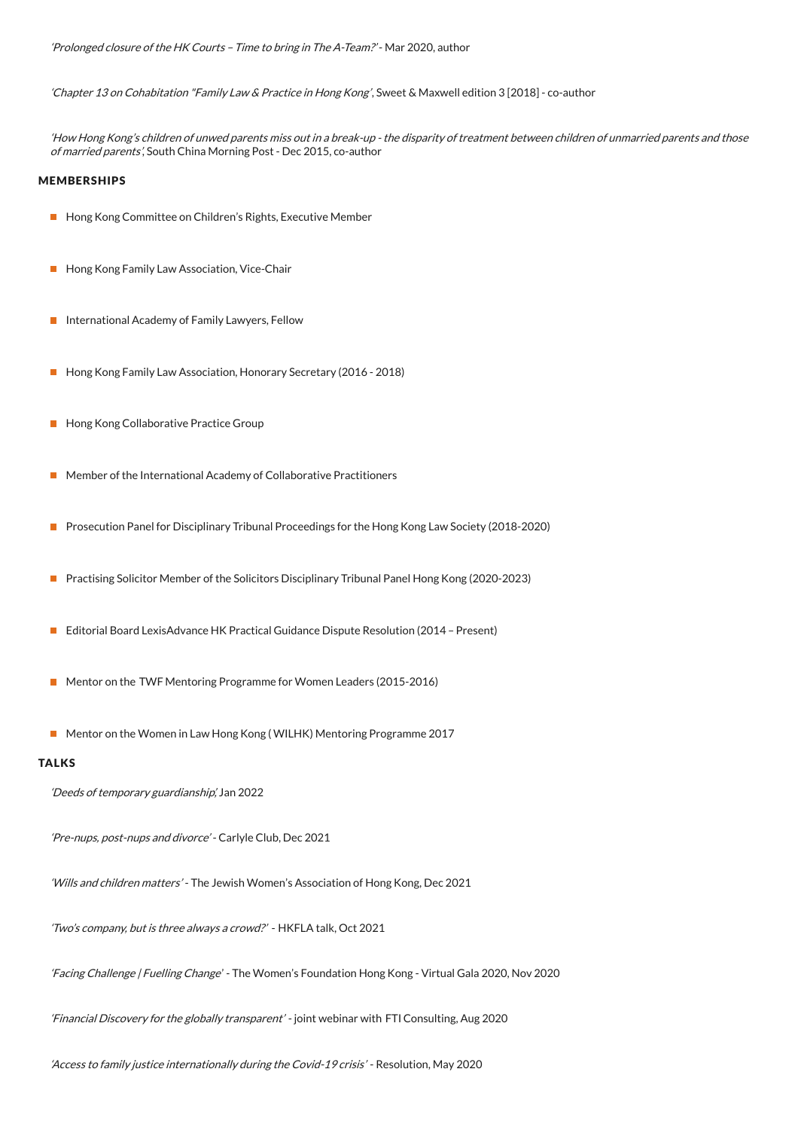'Chapter 13 on Cohabitation "Family Law & Practice in Hong Kong', Sweet & Maxwell edition 3 [2018] - co-author

'How Hong Kong's children of unwed parents miss out in <sup>a</sup> break-up - the disparity of treatment between children of unmarried parents and those of married parents', South China Morning Post - Dec 2015, co-author

#### MEMBERSHIPS

- **Hong Kong Committee on Children's Rights, Executive Member**
- **Hong Kong Family Law Association, Vice-Chair**
- International Academy of Family Lawyers, Fellow
- **Hong Kong Family Law Association, Honorary Secretary (2016 2018)**
- **Hong Kong Collaborative Practice Group**
- Member of the International Academy of Collaborative Practitioners
- **Prosecution Panel for Disciplinary Tribunal Proceedings for the Hong Kong Law Society (2018-2020)**
- Practising Solicitor Member of the Solicitors Disciplinary Tribunal Panel Hong Kong (2020-2023)
- Editorial Board LexisAdvance HK Practical Guidance Dispute Resolution (2014 Present)
- Mentor on the TWF Mentoring Programme for Women Leaders (2015-2016)
- Mentor on the Women in Law Hong Kong (WILHK) Mentoring Programme 2017

#### TALKS

'Deeds of temporary guardianship', Jan 2022

'Pre-nups, post-nups and divorce' - Carlyle Club, Dec 2021

'Wills and children matters' - The Jewish Women's Association of Hong Kong, Dec 2021

'Two's company, but is three always <sup>a</sup> crowd?' - HKFLA talk, Oct 2021

'Facing Challenge | Fuelling Change' - The Women's Foundation Hong Kong - Virtual Gala 2020, Nov 2020

'Financial Discovery for the globally transparent' - joint webinar with FTI Consulting, Aug 2020

'Access to family justice internationally during the Covid-19 crisis' - Resolution, May 2020